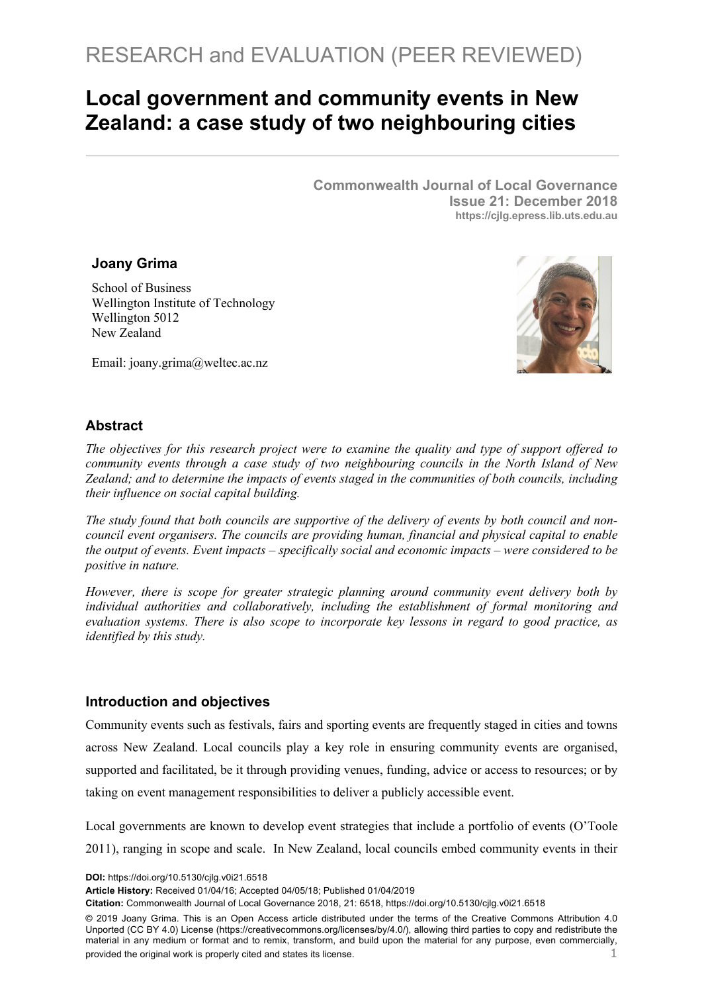# **Local government and community events in New Zealand: a case study of two neighbouring cities**

**Commonwealth Journal of Local Governance Issue 21: December 2018 https://cjlg.epress.lib.uts.edu.au**

# **Joany Grima**

School of Business Wellington Institute of Technology Wellington 5012 New Zealand

Email: joany.grima@weltec.ac.nz



# **Abstract**

*The objectives for this research project were to examine the quality and type of support offered to community events through a case study of two neighbouring councils in the North Island of New Zealand; and to determine the impacts of events staged in the communities of both councils, including their influence on social capital building.*

*The study found that both councils are supportive of the delivery of events by both council and noncouncil event organisers. The councils are providing human, financial and physical capital to enable the output of events. Event impacts – specifically social and economic impacts – were considered to be positive in nature.* 

*However, there is scope for greater strategic planning around community event delivery both by individual authorities and collaboratively, including the establishment of formal monitoring and evaluation systems. There is also scope to incorporate key lessons in regard to good practice, as identified by this study.*

# **Introduction and objectives**

Community events such as festivals, fairs and sporting events are frequently staged in cities and towns across New Zealand. Local councils play a key role in ensuring community events are organised, supported and facilitated, be it through providing venues, funding, advice or access to resources; or by taking on event management responsibilities to deliver a publicly accessible event.

Local governments are known to develop event strategies that include a portfolio of events (O'Toole 2011), ranging in scope and scale. In New Zealand, local councils embed community events in their

**DOI:** https://doi.org/10.5130/cjlg.v0i21.6518

**Article History:** Received 01/04/16; Accepted 04/05/18; Published 01/04/2019

**Citation:** Commonwealth Journal of Local Governance 2018, 21: 6518, https://doi.org/10.5130/cjlg.v0i21.6518

© 2019 Joany Grima. This is an Open Access article distributed under the terms of the Creative Commons Attribution 4.0 Unported (CC BY 4.0) License (https://creativecommons.org/licenses/by/4.0/), allowing third parties to copy and redistribute the material in any medium or format and to remix, transform, and build upon the material for any purpose, even commercially, provided the original work is properly cited and states its license.  $1$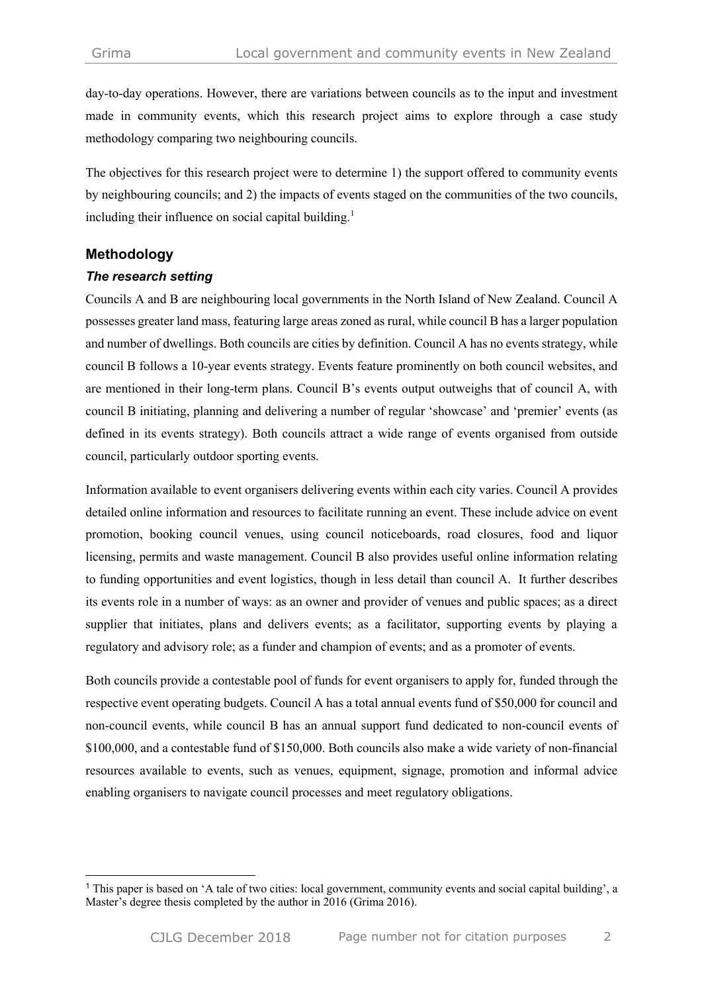day-to-day operations. However, there are variations between councils as to the input and investment made in community events, which this research project aims to explore through a case study methodology comparing two neighbouring councils.

The objectives for this research project were to determine 1) the support offered to community events by neighbouring councils; and 2) the impacts of events staged on the communities of the two councils, including their influence on social capital building.<sup>1</sup>

# **Methodology**

#### *The research setting*

Councils A and B are neighbouring local governments in the North Island of New Zealand. Council A possesses greater land mass, featuring large areas zoned as rural, while council B has a larger population and number of dwellings. Both councils are cities by definition. Council A has no events strategy, while council B follows a 10-year events strategy. Events feature prominently on both council websites, and are mentioned in their long-term plans. Council B's events output outweighs that of council A, with council B initiating, planning and delivering a number of regular 'showcase' and 'premier' events (as defined in its events strategy). Both councils attract a wide range of events organised from outside council, particularly outdoor sporting events.

Information available to event organisers delivering events within each city varies. Council A provides detailed online information and resources to facilitate running an event. These include advice on event promotion, booking council venues, using council noticeboards, road closures, food and liquor licensing, permits and waste management. Council B also provides useful online information relating to funding opportunities and event logistics, though in less detail than council A. It further describes its events role in a number of ways: as an owner and provider of venues and public spaces; as a direct supplier that initiates, plans and delivers events; as a facilitator, supporting events by playing a regulatory and advisory role; as a funder and champion of events; and as a promoter of events.

Both councils provide a contestable pool of funds for event organisers to apply for, funded through the respective event operating budgets. Council A has a total annual events fund of \$50,000 for council and non-council events, while council B has an annual support fund dedicated to non-council events of \$100,000, and a contestable fund of \$150,000. Both councils also make a wide variety of non-financial resources available to events, such as venues, equipment, signage, promotion and informal advice enabling organisers to navigate council processes and meet regulatory obligations.

 <sup>1</sup> This paper is based on 'A tale of two cities: local government, community events and social capital building', a Master's degree thesis completed by the author in 2016 (Grima 2016).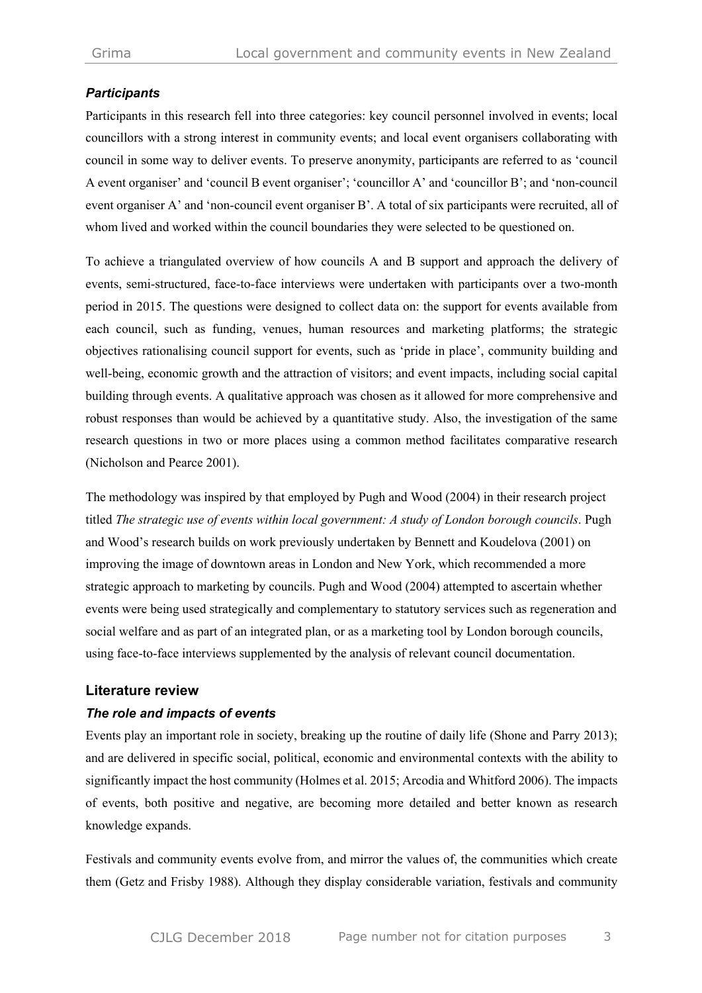#### *Participants*

Participants in this research fell into three categories: key council personnel involved in events; local councillors with a strong interest in community events; and local event organisers collaborating with council in some way to deliver events. To preserve anonymity, participants are referred to as 'council A event organiser' and 'council B event organiser'; 'councillor A' and 'councillor B'; and 'non-council event organiser A' and 'non-council event organiser B'. A total of six participants were recruited, all of whom lived and worked within the council boundaries they were selected to be questioned on.

To achieve a triangulated overview of how councils A and B support and approach the delivery of events, semi-structured, face-to-face interviews were undertaken with participants over a two-month period in 2015. The questions were designed to collect data on: the support for events available from each council, such as funding, venues, human resources and marketing platforms; the strategic objectives rationalising council support for events, such as 'pride in place', community building and well-being, economic growth and the attraction of visitors; and event impacts, including social capital building through events. A qualitative approach was chosen as it allowed for more comprehensive and robust responses than would be achieved by a quantitative study. Also, the investigation of the same research questions in two or more places using a common method facilitates comparative research (Nicholson and Pearce 2001).

The methodology was inspired by that employed by Pugh and Wood (2004) in their research project titled *The strategic use of events within local government: A study of London borough councils*. Pugh and Wood's research builds on work previously undertaken by Bennett and Koudelova (2001) on improving the image of downtown areas in London and New York, which recommended a more strategic approach to marketing by councils. Pugh and Wood (2004) attempted to ascertain whether events were being used strategically and complementary to statutory services such as regeneration and social welfare and as part of an integrated plan, or as a marketing tool by London borough councils, using face-to-face interviews supplemented by the analysis of relevant council documentation.

#### **Literature review**

#### *The role and impacts of events*

Events play an important role in society, breaking up the routine of daily life (Shone and Parry 2013); and are delivered in specific social, political, economic and environmental contexts with the ability to significantly impact the host community (Holmes et al. 2015; Arcodia and Whitford 2006). The impacts of events, both positive and negative, are becoming more detailed and better known as research knowledge expands.

Festivals and community events evolve from, and mirror the values of, the communities which create them (Getz and Frisby 1988). Although they display considerable variation, festivals and community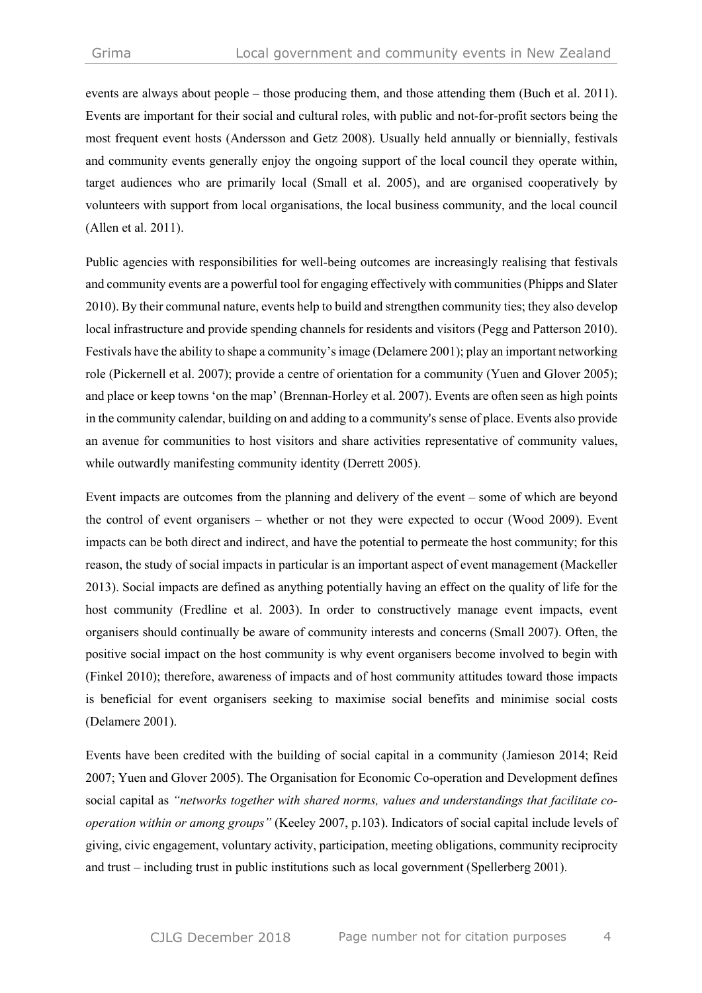events are always about people – those producing them, and those attending them (Buch et al. 2011). Events are important for their social and cultural roles, with public and not-for-profit sectors being the most frequent event hosts (Andersson and Getz 2008). Usually held annually or biennially, festivals and community events generally enjoy the ongoing support of the local council they operate within, target audiences who are primarily local (Small et al. 2005), and are organised cooperatively by volunteers with support from local organisations, the local business community, and the local council (Allen et al. 2011).

Public agencies with responsibilities for well-being outcomes are increasingly realising that festivals and community events are a powerful tool for engaging effectively with communities (Phipps and Slater 2010). By their communal nature, events help to build and strengthen community ties; they also develop local infrastructure and provide spending channels for residents and visitors (Pegg and Patterson 2010). Festivals have the ability to shape a community's image (Delamere 2001); play an important networking role (Pickernell et al. 2007); provide a centre of orientation for a community (Yuen and Glover 2005); and place or keep towns 'on the map' (Brennan-Horley et al. 2007). Events are often seen as high points in the community calendar, building on and adding to a community's sense of place. Events also provide an avenue for communities to host visitors and share activities representative of community values, while outwardly manifesting community identity (Derrett 2005).

Event impacts are outcomes from the planning and delivery of the event – some of which are beyond the control of event organisers – whether or not they were expected to occur (Wood 2009). Event impacts can be both direct and indirect, and have the potential to permeate the host community; for this reason, the study of social impacts in particular is an important aspect of event management (Mackeller 2013). Social impacts are defined as anything potentially having an effect on the quality of life for the host community (Fredline et al. 2003). In order to constructively manage event impacts, event organisers should continually be aware of community interests and concerns (Small 2007). Often, the positive social impact on the host community is why event organisers become involved to begin with (Finkel 2010); therefore, awareness of impacts and of host community attitudes toward those impacts is beneficial for event organisers seeking to maximise social benefits and minimise social costs (Delamere 2001).

Events have been credited with the building of social capital in a community (Jamieson 2014; Reid 2007; Yuen and Glover 2005). The Organisation for Economic Co-operation and Development defines social capital as *"networks together with shared norms, values and understandings that facilitate cooperation within or among groups"* (Keeley 2007, p.103). Indicators of social capital include levels of giving, civic engagement, voluntary activity, participation, meeting obligations, community reciprocity and trust – including trust in public institutions such as local government (Spellerberg 2001).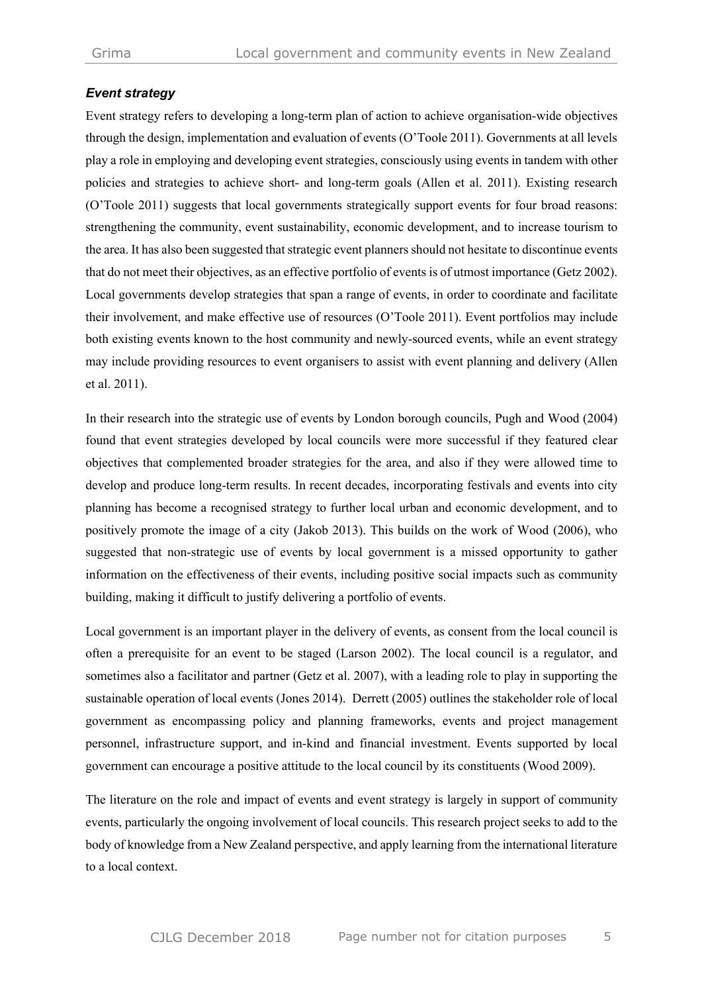# *Event strategy*

Event strategy refers to developing a long-term plan of action to achieve organisation-wide objectives through the design, implementation and evaluation of events (O'Toole 2011). Governments at all levels play a role in employing and developing event strategies, consciously using events in tandem with other policies and strategies to achieve short- and long-term goals (Allen et al. 2011). Existing research (O'Toole 2011) suggests that local governments strategically support events for four broad reasons: strengthening the community, event sustainability, economic development, and to increase tourism to the area. It has also been suggested that strategic event planners should not hesitate to discontinue events that do not meet their objectives, as an effective portfolio of events is of utmost importance (Getz 2002). Local governments develop strategies that span a range of events, in order to coordinate and facilitate their involvement, and make effective use of resources (O'Toole 2011). Event portfolios may include both existing events known to the host community and newly-sourced events, while an event strategy may include providing resources to event organisers to assist with event planning and delivery (Allen et al. 2011).

In their research into the strategic use of events by London borough councils, Pugh and Wood (2004) found that event strategies developed by local councils were more successful if they featured clear objectives that complemented broader strategies for the area, and also if they were allowed time to develop and produce long-term results. In recent decades, incorporating festivals and events into city planning has become a recognised strategy to further local urban and economic development, and to positively promote the image of a city (Jakob 2013). This builds on the work of Wood (2006), who suggested that non-strategic use of events by local government is a missed opportunity to gather information on the effectiveness of their events, including positive social impacts such as community building, making it difficult to justify delivering a portfolio of events.

Local government is an important player in the delivery of events, as consent from the local council is often a prerequisite for an event to be staged (Larson 2002). The local council is a regulator, and sometimes also a facilitator and partner (Getz et al. 2007), with a leading role to play in supporting the sustainable operation of local events (Jones 2014). Derrett (2005) outlines the stakeholder role of local government as encompassing policy and planning frameworks, events and project management personnel, infrastructure support, and in-kind and financial investment. Events supported by local government can encourage a positive attitude to the local council by its constituents (Wood 2009).

The literature on the role and impact of events and event strategy is largely in support of community events, particularly the ongoing involvement of local councils. This research project seeks to add to the body of knowledge from a New Zealand perspective, and apply learning from the international literature to a local context.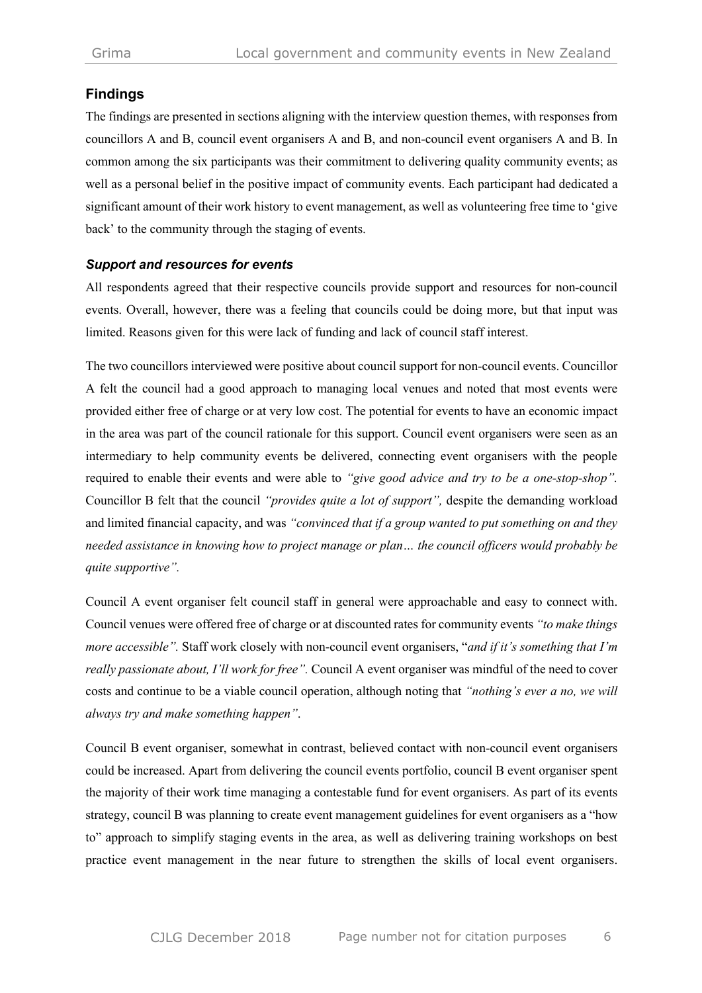# **Findings**

The findings are presented in sections aligning with the interview question themes, with responses from councillors A and B, council event organisers A and B, and non-council event organisers A and B. In common among the six participants was their commitment to delivering quality community events; as well as a personal belief in the positive impact of community events. Each participant had dedicated a significant amount of their work history to event management, as well as volunteering free time to 'give back' to the community through the staging of events.

# *Support and resources for events*

All respondents agreed that their respective councils provide support and resources for non-council events. Overall, however, there was a feeling that councils could be doing more, but that input was limited. Reasons given for this were lack of funding and lack of council staff interest.

The two councillors interviewed were positive about council support for non-council events. Councillor A felt the council had a good approach to managing local venues and noted that most events were provided either free of charge or at very low cost. The potential for events to have an economic impact in the area was part of the council rationale for this support. Council event organisers were seen as an intermediary to help community events be delivered, connecting event organisers with the people required to enable their events and were able to *"give good advice and try to be a one-stop-shop".*  Councillor B felt that the council *"provides quite a lot of support",* despite the demanding workload and limited financial capacity, and was *"convinced that if a group wanted to put something on and they needed assistance in knowing how to project manage or plan… the council officers would probably be quite supportive".*

Council A event organiser felt council staff in general were approachable and easy to connect with. Council venues were offered free of charge or at discounted rates for community events *"to make things more accessible".* Staff work closely with non-council event organisers, "*and if it's something that I'm really passionate about, I'll work for free".* Council A event organiser was mindful of the need to cover costs and continue to be a viable council operation, although noting that *"nothing's ever a no, we will always try and make something happen"*.

Council B event organiser, somewhat in contrast, believed contact with non-council event organisers could be increased. Apart from delivering the council events portfolio, council B event organiser spent the majority of their work time managing a contestable fund for event organisers. As part of its events strategy, council B was planning to create event management guidelines for event organisers as a "how to" approach to simplify staging events in the area, as well as delivering training workshops on best practice event management in the near future to strengthen the skills of local event organisers.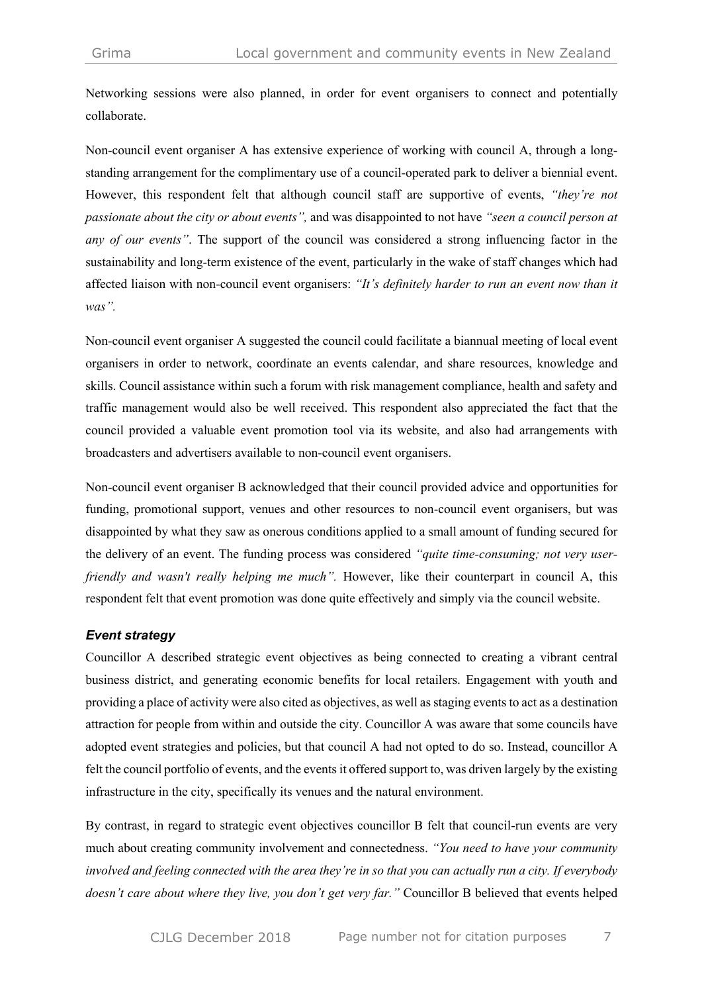Networking sessions were also planned, in order for event organisers to connect and potentially collaborate.

Non-council event organiser A has extensive experience of working with council A, through a longstanding arrangement for the complimentary use of a council-operated park to deliver a biennial event. However, this respondent felt that although council staff are supportive of events, *"they're not passionate about the city or about events",* and was disappointed to not have *"seen a council person at any of our events"*. The support of the council was considered a strong influencing factor in the sustainability and long-term existence of the event, particularly in the wake of staff changes which had affected liaison with non-council event organisers: *"It's definitely harder to run an event now than it was".*

Non-council event organiser A suggested the council could facilitate a biannual meeting of local event organisers in order to network, coordinate an events calendar, and share resources, knowledge and skills. Council assistance within such a forum with risk management compliance, health and safety and traffic management would also be well received. This respondent also appreciated the fact that the council provided a valuable event promotion tool via its website, and also had arrangements with broadcasters and advertisers available to non-council event organisers.

Non-council event organiser B acknowledged that their council provided advice and opportunities for funding, promotional support, venues and other resources to non-council event organisers, but was disappointed by what they saw as onerous conditions applied to a small amount of funding secured for the delivery of an event. The funding process was considered *"quite time-consuming; not very userfriendly and wasn't really helping me much".* However, like their counterpart in council A, this respondent felt that event promotion was done quite effectively and simply via the council website.

#### *Event strategy*

Councillor A described strategic event objectives as being connected to creating a vibrant central business district, and generating economic benefits for local retailers. Engagement with youth and providing a place of activity were also cited as objectives, as well as staging events to act as a destination attraction for people from within and outside the city. Councillor A was aware that some councils have adopted event strategies and policies, but that council A had not opted to do so. Instead, councillor A felt the council portfolio of events, and the events it offered support to, was driven largely by the existing infrastructure in the city, specifically its venues and the natural environment.

By contrast, in regard to strategic event objectives councillor B felt that council-run events are very much about creating community involvement and connectedness. *"You need to have your community involved and feeling connected with the area they're in so that you can actually run a city. If everybody doesn't care about where they live, you don't get very far."* Councillor B believed that events helped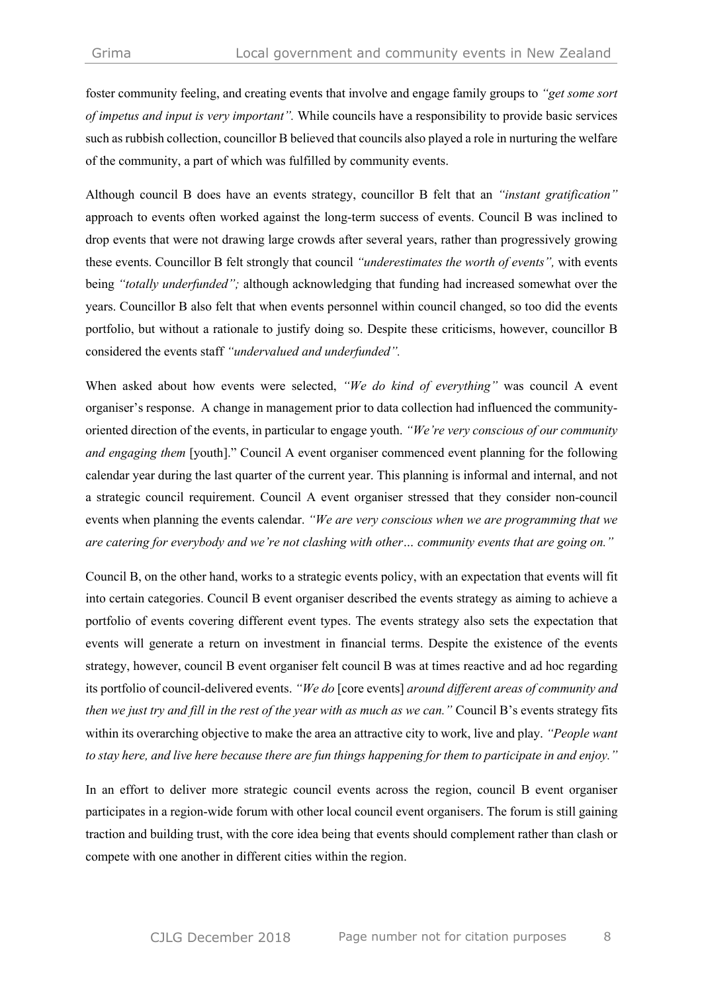foster community feeling, and creating events that involve and engage family groups to *"get some sort of impetus and input is very important".* While councils have a responsibility to provide basic services such as rubbish collection, councillor B believed that councils also played a role in nurturing the welfare of the community, a part of which was fulfilled by community events.

Although council B does have an events strategy, councillor B felt that an *"instant gratification"* approach to events often worked against the long-term success of events. Council B was inclined to drop events that were not drawing large crowds after several years, rather than progressively growing these events. Councillor B felt strongly that council *"underestimates the worth of events",* with events being *"totally underfunded";* although acknowledging that funding had increased somewhat over the years. Councillor B also felt that when events personnel within council changed, so too did the events portfolio, but without a rationale to justify doing so. Despite these criticisms, however, councillor B considered the events staff *"undervalued and underfunded".* 

When asked about how events were selected, *"We do kind of everything"* was council A event organiser's response. A change in management prior to data collection had influenced the communityoriented direction of the events, in particular to engage youth. *"We're very conscious of our community and engaging them* [youth]." Council A event organiser commenced event planning for the following calendar year during the last quarter of the current year. This planning is informal and internal, and not a strategic council requirement. Council A event organiser stressed that they consider non-council events when planning the events calendar. *"We are very conscious when we are programming that we are catering for everybody and we're not clashing with other… community events that are going on."*

Council B, on the other hand, works to a strategic events policy, with an expectation that events will fit into certain categories. Council B event organiser described the events strategy as aiming to achieve a portfolio of events covering different event types. The events strategy also sets the expectation that events will generate a return on investment in financial terms. Despite the existence of the events strategy, however, council B event organiser felt council B was at times reactive and ad hoc regarding its portfolio of council-delivered events. *"We do* [core events] *around different areas of community and then we just try and fill in the rest of the year with as much as we can."* Council B's events strategy fits within its overarching objective to make the area an attractive city to work, live and play. *"People want to stay here, and live here because there are fun things happening for them to participate in and enjoy."*

In an effort to deliver more strategic council events across the region, council B event organiser participates in a region-wide forum with other local council event organisers. The forum is still gaining traction and building trust, with the core idea being that events should complement rather than clash or compete with one another in different cities within the region.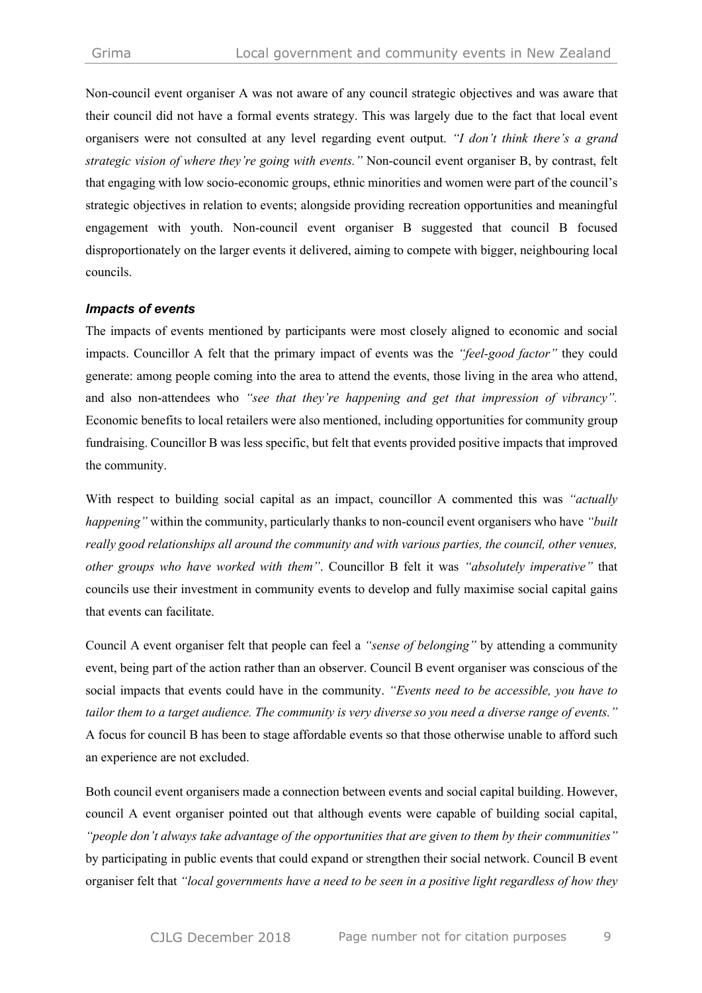Non-council event organiser A was not aware of any council strategic objectives and was aware that their council did not have a formal events strategy. This was largely due to the fact that local event organisers were not consulted at any level regarding event output. *"I don't think there's a grand strategic vision of where they're going with events."* Non-council event organiser B, by contrast, felt that engaging with low socio-economic groups, ethnic minorities and women were part of the council's strategic objectives in relation to events; alongside providing recreation opportunities and meaningful engagement with youth. Non-council event organiser B suggested that council B focused disproportionately on the larger events it delivered, aiming to compete with bigger, neighbouring local councils.

#### *Impacts of events*

The impacts of events mentioned by participants were most closely aligned to economic and social impacts. Councillor A felt that the primary impact of events was the *"feel-good factor"* they could generate: among people coming into the area to attend the events, those living in the area who attend, and also non-attendees who *"see that they're happening and get that impression of vibrancy".* Economic benefits to local retailers were also mentioned, including opportunities for community group fundraising. Councillor B was less specific, but felt that events provided positive impacts that improved the community.

With respect to building social capital as an impact, councillor A commented this was *"actually happening"* within the community, particularly thanks to non-council event organisers who have *"built really good relationships all around the community and with various parties, the council, other venues, other groups who have worked with them"*. Councillor B felt it was *"absolutely imperative"* that councils use their investment in community events to develop and fully maximise social capital gains that events can facilitate.

Council A event organiser felt that people can feel a *"sense of belonging"* by attending a community event, being part of the action rather than an observer. Council B event organiser was conscious of the social impacts that events could have in the community. *"Events need to be accessible, you have to tailor them to a target audience. The community is very diverse so you need a diverse range of events."* A focus for council B has been to stage affordable events so that those otherwise unable to afford such an experience are not excluded.

Both council event organisers made a connection between events and social capital building. However, council A event organiser pointed out that although events were capable of building social capital, *"people don't always take advantage of the opportunities that are given to them by their communities"* by participating in public events that could expand or strengthen their social network. Council B event organiser felt that *"local governments have a need to be seen in a positive light regardless of how they*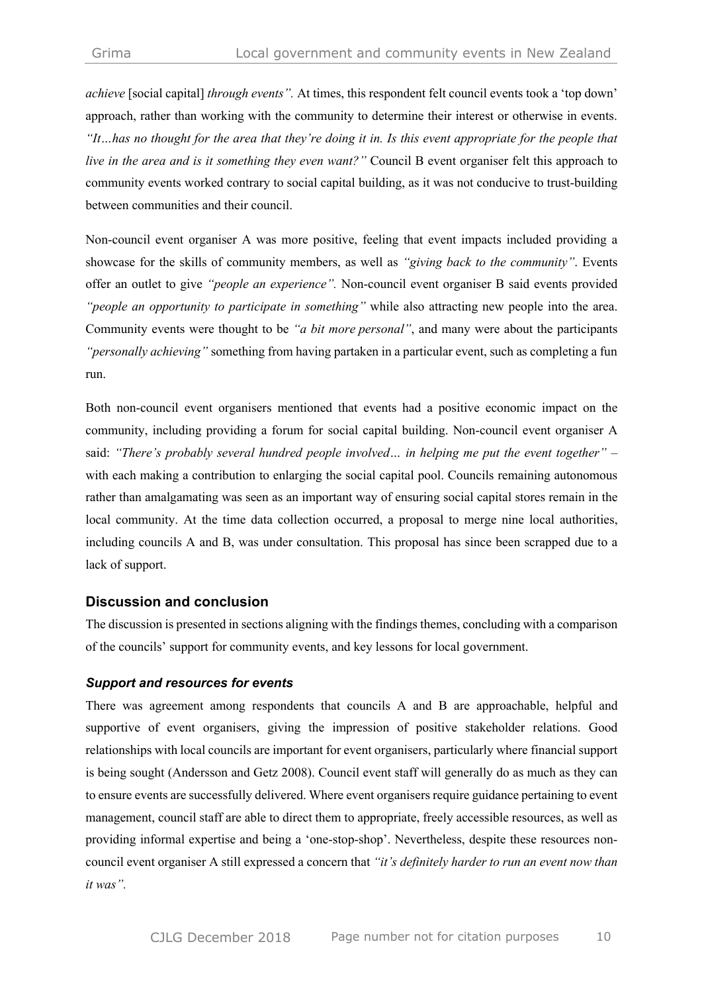*achieve* [social capital] *through events".* At times, this respondent felt council events took a 'top down' approach, rather than working with the community to determine their interest or otherwise in events. *"It…has no thought for the area that they're doing it in. Is this event appropriate for the people that live in the area and is it something they even want?"* Council B event organiser felt this approach to community events worked contrary to social capital building, as it was not conducive to trust-building between communities and their council.

Non-council event organiser A was more positive, feeling that event impacts included providing a showcase for the skills of community members, as well as *"giving back to the community"*. Events offer an outlet to give *"people an experience".* Non-council event organiser B said events provided *"people an opportunity to participate in something"* while also attracting new people into the area. Community events were thought to be *"a bit more personal"*, and many were about the participants *"personally achieving"* something from having partaken in a particular event, such as completing a fun run.

Both non-council event organisers mentioned that events had a positive economic impact on the community, including providing a forum for social capital building. Non-council event organiser A said: *"There's probably several hundred people involved… in helping me put the event together"* – with each making a contribution to enlarging the social capital pool. Councils remaining autonomous rather than amalgamating was seen as an important way of ensuring social capital stores remain in the local community. At the time data collection occurred, a proposal to merge nine local authorities, including councils A and B, was under consultation. This proposal has since been scrapped due to a lack of support.

# **Discussion and conclusion**

The discussion is presented in sections aligning with the findings themes, concluding with a comparison of the councils' support for community events, and key lessons for local government.

#### *Support and resources for events*

There was agreement among respondents that councils A and B are approachable, helpful and supportive of event organisers, giving the impression of positive stakeholder relations. Good relationships with local councils are important for event organisers, particularly where financial support is being sought (Andersson and Getz 2008). Council event staff will generally do as much as they can to ensure events are successfully delivered. Where event organisers require guidance pertaining to event management, council staff are able to direct them to appropriate, freely accessible resources, as well as providing informal expertise and being a 'one-stop-shop'. Nevertheless, despite these resources noncouncil event organiser A still expressed a concern that *"it's definitely harder to run an event now than it was".*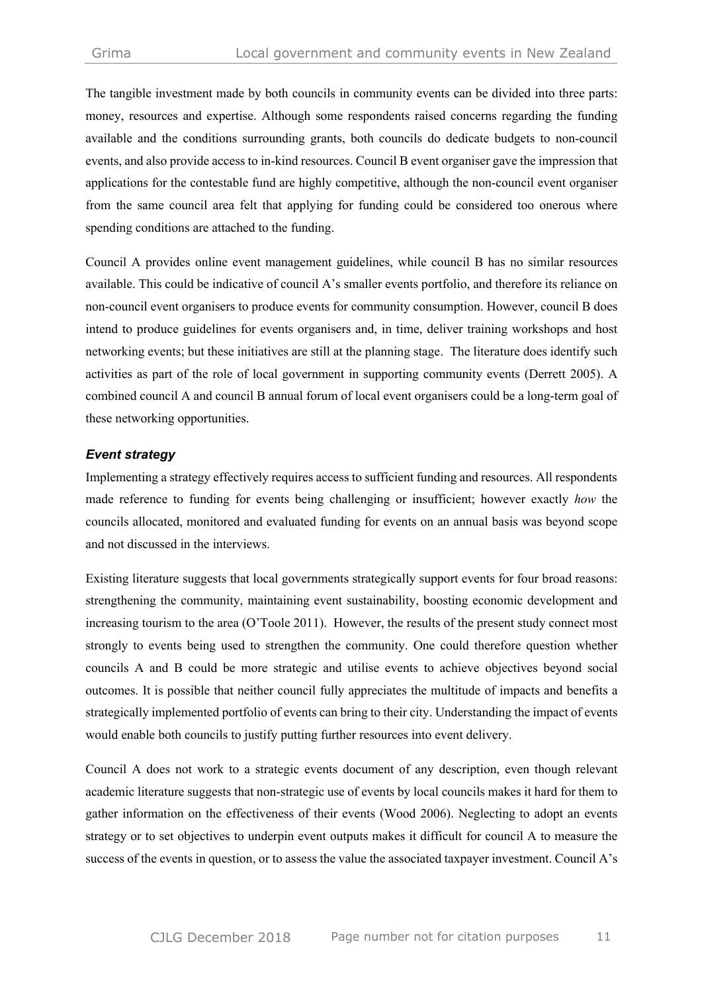The tangible investment made by both councils in community events can be divided into three parts: money, resources and expertise. Although some respondents raised concerns regarding the funding available and the conditions surrounding grants, both councils do dedicate budgets to non-council events, and also provide access to in-kind resources. Council B event organiser gave the impression that applications for the contestable fund are highly competitive, although the non-council event organiser from the same council area felt that applying for funding could be considered too onerous where spending conditions are attached to the funding.

Council A provides online event management guidelines, while council B has no similar resources available. This could be indicative of council A's smaller events portfolio, and therefore its reliance on non-council event organisers to produce events for community consumption. However, council B does intend to produce guidelines for events organisers and, in time, deliver training workshops and host networking events; but these initiatives are still at the planning stage. The literature does identify such activities as part of the role of local government in supporting community events (Derrett 2005). A combined council A and council B annual forum of local event organisers could be a long-term goal of these networking opportunities.

# *Event strategy*

Implementing a strategy effectively requires access to sufficient funding and resources. All respondents made reference to funding for events being challenging or insufficient; however exactly *how* the councils allocated, monitored and evaluated funding for events on an annual basis was beyond scope and not discussed in the interviews.

Existing literature suggests that local governments strategically support events for four broad reasons: strengthening the community, maintaining event sustainability, boosting economic development and increasing tourism to the area (O'Toole 2011). However, the results of the present study connect most strongly to events being used to strengthen the community. One could therefore question whether councils A and B could be more strategic and utilise events to achieve objectives beyond social outcomes. It is possible that neither council fully appreciates the multitude of impacts and benefits a strategically implemented portfolio of events can bring to their city. Understanding the impact of events would enable both councils to justify putting further resources into event delivery.

Council A does not work to a strategic events document of any description, even though relevant academic literature suggests that non-strategic use of events by local councils makes it hard for them to gather information on the effectiveness of their events (Wood 2006). Neglecting to adopt an events strategy or to set objectives to underpin event outputs makes it difficult for council A to measure the success of the events in question, or to assess the value the associated taxpayer investment. Council A's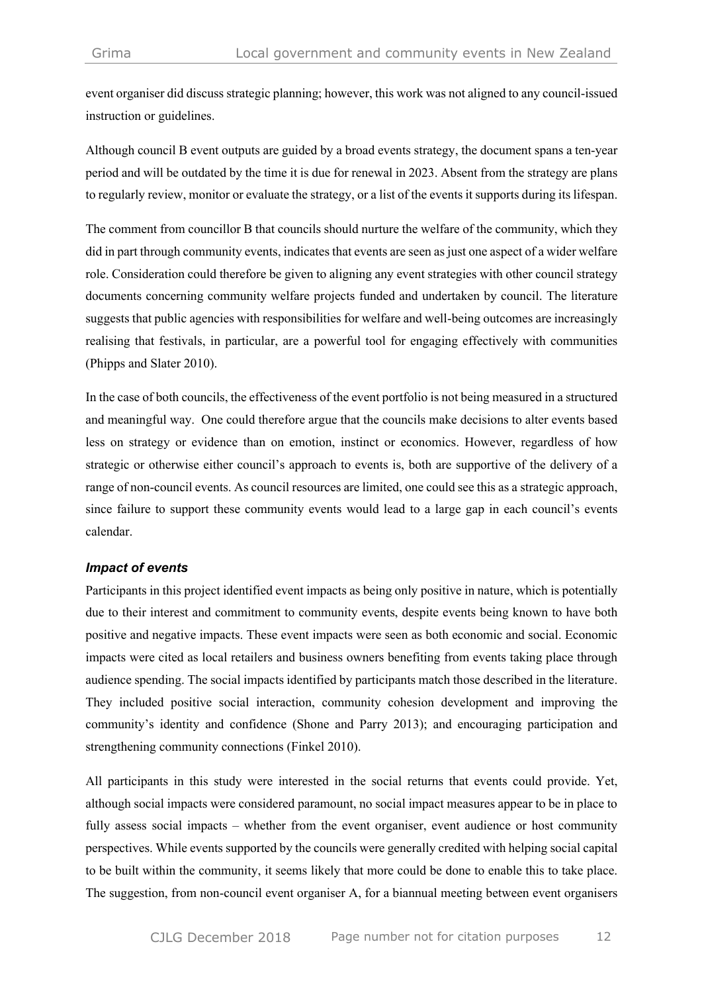event organiser did discuss strategic planning; however, this work was not aligned to any council-issued instruction or guidelines.

Although council B event outputs are guided by a broad events strategy, the document spans a ten-year period and will be outdated by the time it is due for renewal in 2023. Absent from the strategy are plans to regularly review, monitor or evaluate the strategy, or a list of the events it supports during its lifespan.

The comment from councillor B that councils should nurture the welfare of the community, which they did in part through community events, indicates that events are seen as just one aspect of a wider welfare role. Consideration could therefore be given to aligning any event strategies with other council strategy documents concerning community welfare projects funded and undertaken by council. The literature suggests that public agencies with responsibilities for welfare and well-being outcomes are increasingly realising that festivals, in particular, are a powerful tool for engaging effectively with communities (Phipps and Slater 2010).

In the case of both councils, the effectiveness of the event portfolio is not being measured in a structured and meaningful way. One could therefore argue that the councils make decisions to alter events based less on strategy or evidence than on emotion, instinct or economics. However, regardless of how strategic or otherwise either council's approach to events is, both are supportive of the delivery of a range of non-council events. As council resources are limited, one could see this as a strategic approach, since failure to support these community events would lead to a large gap in each council's events calendar.

#### *Impact of events*

Participants in this project identified event impacts as being only positive in nature, which is potentially due to their interest and commitment to community events, despite events being known to have both positive and negative impacts. These event impacts were seen as both economic and social. Economic impacts were cited as local retailers and business owners benefiting from events taking place through audience spending. The social impacts identified by participants match those described in the literature. They included positive social interaction, community cohesion development and improving the community's identity and confidence (Shone and Parry 2013); and encouraging participation and strengthening community connections (Finkel 2010).

All participants in this study were interested in the social returns that events could provide. Yet, although social impacts were considered paramount, no social impact measures appear to be in place to fully assess social impacts – whether from the event organiser, event audience or host community perspectives. While events supported by the councils were generally credited with helping social capital to be built within the community, it seems likely that more could be done to enable this to take place. The suggestion, from non-council event organiser A, for a biannual meeting between event organisers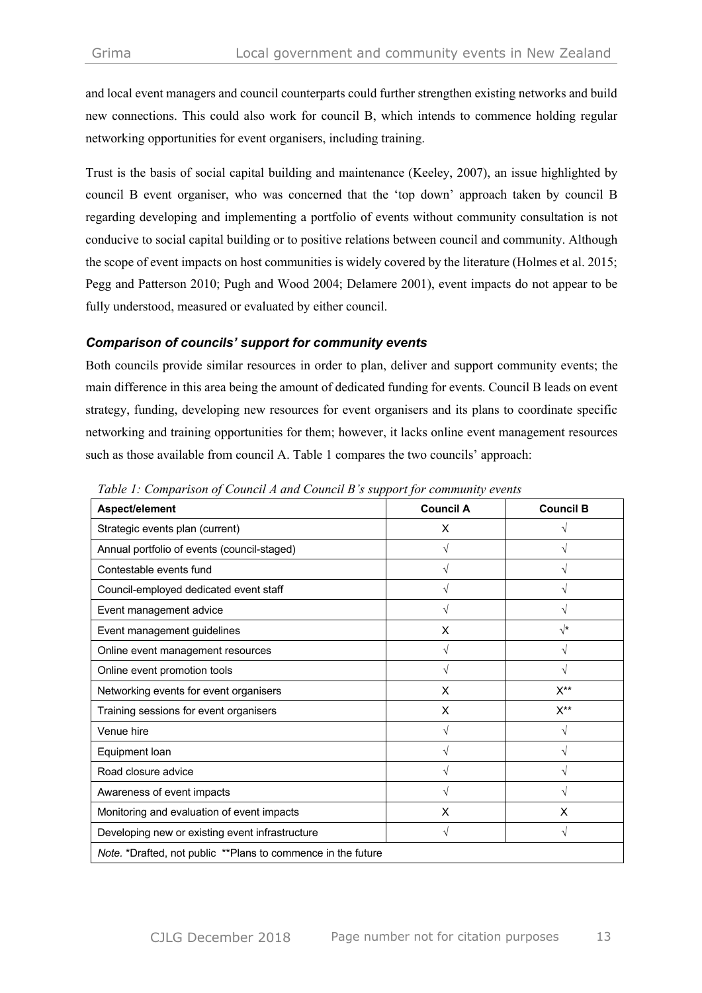and local event managers and council counterparts could further strengthen existing networks and build new connections. This could also work for council B, which intends to commence holding regular networking opportunities for event organisers, including training.

Trust is the basis of social capital building and maintenance (Keeley, 2007), an issue highlighted by council B event organiser, who was concerned that the 'top down' approach taken by council B regarding developing and implementing a portfolio of events without community consultation is not conducive to social capital building or to positive relations between council and community. Although the scope of event impacts on host communities is widely covered by the literature (Holmes et al. 2015; Pegg and Patterson 2010; Pugh and Wood 2004; Delamere 2001), event impacts do not appear to be fully understood, measured or evaluated by either council.

# *Comparison of councils' support for community events*

Both councils provide similar resources in order to plan, deliver and support community events; the main difference in this area being the amount of dedicated funding for events. Council B leads on event strategy, funding, developing new resources for event organisers and its plans to coordinate specific networking and training opportunities for them; however, it lacks online event management resources such as those available from council A. Table 1 compares the two councils' approach:

| Aspect/element                                               | <b>Council A</b> | <b>Council B</b> |
|--------------------------------------------------------------|------------------|------------------|
| Strategic events plan (current)                              | X                | $\sqrt{ }$       |
| Annual portfolio of events (council-staged)                  |                  | $\sqrt{ }$       |
| Contestable events fund                                      |                  | V                |
| Council-employed dedicated event staff                       |                  | $\mathcal{N}$    |
| Event management advice                                      | V                | $\mathcal{N}$    |
| Event management guidelines                                  | X                | $\sqrt{\star}$   |
| Online event management resources                            | V                | $\sqrt{ }$       |
| Online event promotion tools                                 |                  | N                |
| Networking events for event organisers                       | X                | $X^{**}$         |
| Training sessions for event organisers                       | X                | $X^{**}$         |
| Venue hire                                                   | V                | N                |
| Equipment loan                                               |                  | N                |
| Road closure advice                                          | V                | $\sqrt{ }$       |
| Awareness of event impacts                                   | $\sqrt{}$        | $\sqrt{ }$       |
| Monitoring and evaluation of event impacts                   | X                | X                |
| Developing new or existing event infrastructure              |                  | N                |
| Note. *Drafted, not public **Plans to commence in the future |                  |                  |

*Table 1: Comparison of Council A and Council B's support for community events*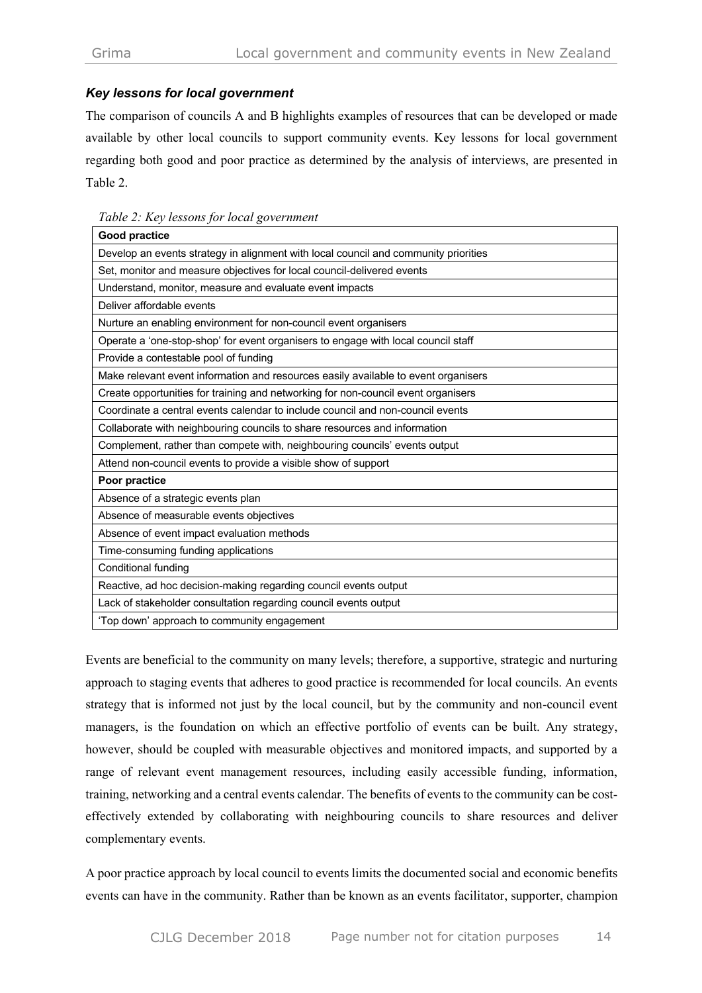# *Key lessons for local government*

The comparison of councils A and B highlights examples of resources that can be developed or made available by other local councils to support community events. Key lessons for local government regarding both good and poor practice as determined by the analysis of interviews, are presented in Table 2.

*Table 2: Key lessons for local government*

Events are beneficial to the community on many levels; therefore, a supportive, strategic and nurturing approach to staging events that adheres to good practice is recommended for local councils. An events strategy that is informed not just by the local council, but by the community and non-council event managers, is the foundation on which an effective portfolio of events can be built. Any strategy, however, should be coupled with measurable objectives and monitored impacts, and supported by a range of relevant event management resources, including easily accessible funding, information, training, networking and a central events calendar. The benefits of events to the community can be costeffectively extended by collaborating with neighbouring councils to share resources and deliver complementary events.

A poor practice approach by local council to events limits the documented social and economic benefits events can have in the community. Rather than be known as an events facilitator, supporter, champion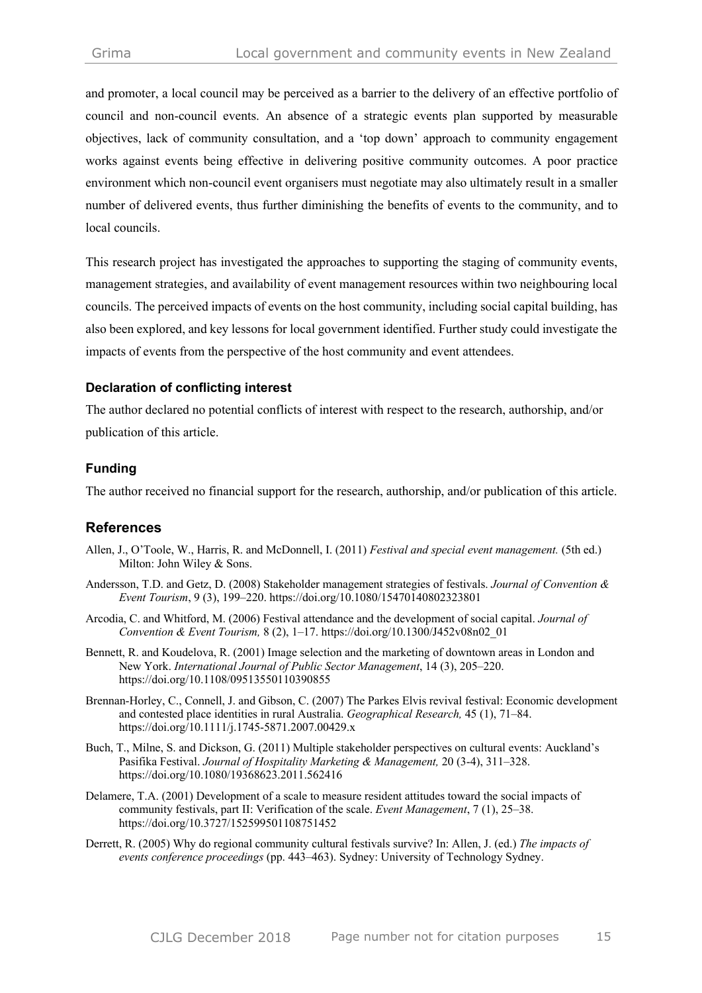and promoter, a local council may be perceived as a barrier to the delivery of an effective portfolio of council and non-council events. An absence of a strategic events plan supported by measurable objectives, lack of community consultation, and a 'top down' approach to community engagement works against events being effective in delivering positive community outcomes. A poor practice environment which non-council event organisers must negotiate may also ultimately result in a smaller number of delivered events, thus further diminishing the benefits of events to the community, and to local councils.

This research project has investigated the approaches to supporting the staging of community events, management strategies, and availability of event management resources within two neighbouring local councils. The perceived impacts of events on the host community, including social capital building, has also been explored, and key lessons for local government identified. Further study could investigate the impacts of events from the perspective of the host community and event attendees.

# **Declaration of conflicting interest**

The author declared no potential conflicts of interest with respect to the research, authorship, and/or publication of this article.

# **Funding**

The author received no financial support for the research, authorship, and/or publication of this article.

# **References**

- Allen, J., O'Toole, W., Harris, R. and McDonnell, I. (2011) *Festival and special event management.* (5th ed.) Milton: John Wiley & Sons.
- Andersson, T.D. and Getz, D. (2008) Stakeholder management strategies of festivals. *Journal of Convention & Event Tourism*, 9 (3), 199–220. https://doi.org/10.1080/15470140802323801
- Arcodia, C. and Whitford, M. (2006) Festival attendance and the development of social capital. *Journal of Convention & Event Tourism,* 8 (2), 1–17. https://doi.org/10.1300/J452v08n02\_01
- Bennett, R. and Koudelova, R. (2001) Image selection and the marketing of downtown areas in London and New York. *International Journal of Public Sector Management*, 14 (3), 205–220. https://doi.org/10.1108/09513550110390855
- Brennan-Horley, C., Connell, J. and Gibson, C. (2007) The Parkes Elvis revival festival: Economic development and contested place identities in rural Australia. *Geographical Research,* 45 (1), 71–84. https://doi.org/10.1111/j.1745-5871.2007.00429.x
- Buch, T., Milne, S. and Dickson, G. (2011) Multiple stakeholder perspectives on cultural events: Auckland's Pasifika Festival. *Journal of Hospitality Marketing & Management,* 20 (3-4), 311–328. https://doi.org/10.1080/19368623.2011.562416
- Delamere, T.A. (2001) Development of a scale to measure resident attitudes toward the social impacts of community festivals, part II: Verification of the scale. *Event Management*, 7 (1), 25–38. https://doi.org/10.3727/152599501108751452
- Derrett, R. (2005) Why do regional community cultural festivals survive? In: Allen, J. (ed.) *The impacts of events conference proceedings* (pp. 443–463). Sydney: University of Technology Sydney.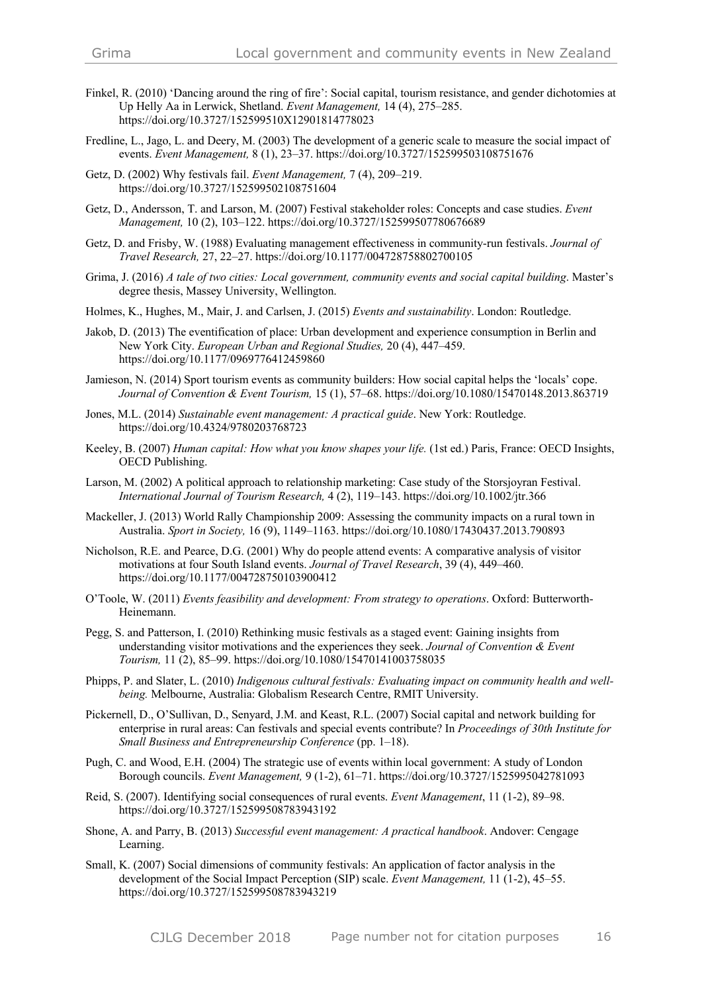- Finkel, R. (2010) 'Dancing around the ring of fire': Social capital, tourism resistance, and gender dichotomies at Up Helly Aa in Lerwick, Shetland. *Event Management,* 14 (4), 275–285. https://doi.org/10.3727/152599510X12901814778023
- Fredline, L., Jago, L. and Deery, M. (2003) The development of a generic scale to measure the social impact of events. *Event Management,* 8 (1), 23–37. https://doi.org/10.3727/152599503108751676
- Getz, D. (2002) Why festivals fail. *Event Management,* 7 (4), 209–219. https://doi.org/10.3727/152599502108751604
- Getz, D., Andersson, T. and Larson, M. (2007) Festival stakeholder roles: Concepts and case studies. *Event Management,* 10 (2), 103–122. https://doi.org/10.3727/152599507780676689
- Getz, D. and Frisby, W. (1988) Evaluating management effectiveness in community-run festivals. *Journal of Travel Research,* 27, 22–27. https://doi.org/10.1177/004728758802700105
- Grima, J. (2016) *A tale of two cities: Local government, community events and social capital building*. Master's degree thesis, Massey University, Wellington.
- Holmes, K., Hughes, M., Mair, J. and Carlsen, J. (2015) *Events and sustainability*. London: Routledge.
- Jakob, D. (2013) The eventification of place: Urban development and experience consumption in Berlin and New York City. *European Urban and Regional Studies,* 20 (4), 447–459. https://doi.org/10.1177/0969776412459860
- Jamieson, N. (2014) Sport tourism events as community builders: How social capital helps the 'locals' cope. *Journal of Convention & Event Tourism,* 15 (1), 57–68. https://doi.org/10.1080/15470148.2013.863719
- Jones, M.L. (2014) *Sustainable event management: A practical guide*. New York: Routledge. https://doi.org/10.4324/9780203768723
- Keeley, B. (2007) *Human capital: How what you know shapes your life.* (1st ed.) Paris, France: OECD Insights, OECD Publishing.
- Larson, M. (2002) A political approach to relationship marketing: Case study of the Storsjoyran Festival. *International Journal of Tourism Research,* 4 (2), 119–143. https://doi.org/10.1002/jtr.366
- Mackeller, J. (2013) World Rally Championship 2009: Assessing the community impacts on a rural town in Australia. *Sport in Society,* 16 (9), 1149–1163. https://doi.org/10.1080/17430437.2013.790893
- Nicholson, R.E. and Pearce, D.G. (2001) Why do people attend events: A comparative analysis of visitor motivations at four South Island events. *Journal of Travel Research*, 39 (4), 449–460. https://doi.org/10.1177/004728750103900412
- O'Toole, W. (2011) *Events feasibility and development: From strategy to operations*. Oxford: Butterworth-Heinemann.
- Pegg, S. and Patterson, I. (2010) Rethinking music festivals as a staged event: Gaining insights from understanding visitor motivations and the experiences they seek. *Journal of Convention & Event Tourism,* 11 (2), 85–99. https://doi.org/10.1080/15470141003758035
- Phipps, P. and Slater, L. (2010) *Indigenous cultural festivals: Evaluating impact on community health and wellbeing.* Melbourne, Australia: Globalism Research Centre, RMIT University.
- Pickernell, D., O'Sullivan, D., Senyard, J.M. and Keast, R.L. (2007) Social capital and network building for enterprise in rural areas: Can festivals and special events contribute? In *Proceedings of 30th Institute for Small Business and Entrepreneurship Conference* (pp. 1–18).
- Pugh, C. and Wood, E.H. (2004) The strategic use of events within local government: A study of London Borough councils. *Event Management,* 9 (1-2), 61–71. https://doi.org/10.3727/1525995042781093
- Reid, S. (2007). Identifying social consequences of rural events. *Event Management*, 11 (1-2), 89–98. https://doi.org/10.3727/152599508783943192
- Shone, A. and Parry, B. (2013) *Successful event management: A practical handbook*. Andover: Cengage Learning.
- Small, K. (2007) Social dimensions of community festivals: An application of factor analysis in the development of the Social Impact Perception (SIP) scale. *Event Management,* 11 (1-2), 45–55. https://doi.org/10.3727/152599508783943219